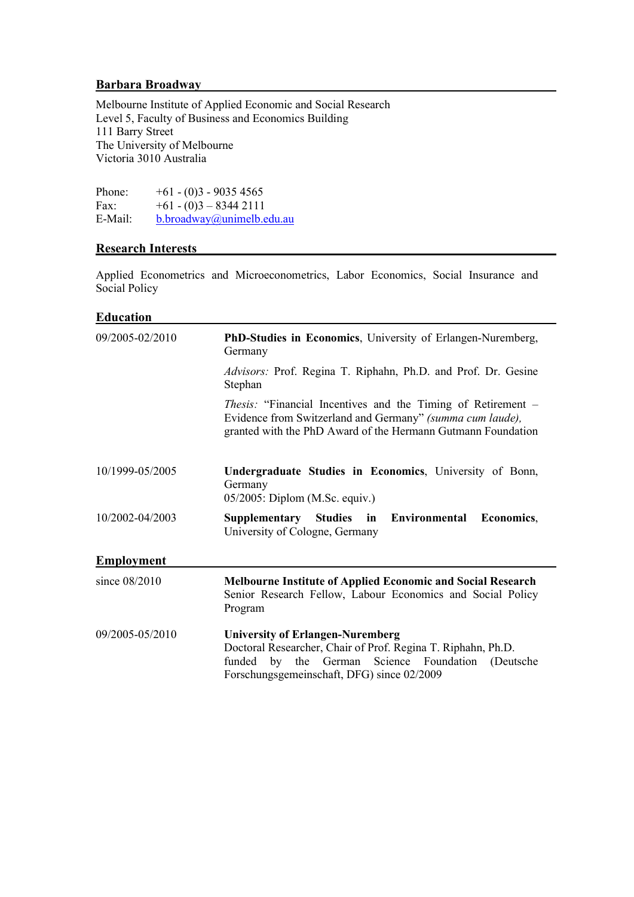### Barbara Broadway

Melbourne Institute of Applied Economic and Social Research Level 5, Faculty of Business and Economics Building 111 Barry Street The University of Melbourne Victoria 3010 Australia

Phone:  $+61 - (0)3 - 90354565$ <br>Fax:  $+61 - (0)3 - 83442111$  $+61 - (0)3 - 83442111$ E-Mail: b.broadway@unimelb.edu.au

#### Research Interests

Applied Econometrics and Microeconometrics, Labor Economics, Social Insurance and Social Policy

### **Education**

| 09/2005-02/2010   | PhD-Studies in Economics, University of Erlangen-Nuremberg,<br>Germany                                                                                                                           |
|-------------------|--------------------------------------------------------------------------------------------------------------------------------------------------------------------------------------------------|
|                   | Advisors: Prof. Regina T. Riphahn, Ph.D. and Prof. Dr. Gesine<br>Stephan                                                                                                                         |
|                   | <i>Thesis:</i> "Financial Incentives and the Timing of Retirement –<br>Evidence from Switzerland and Germany" (summa cum laude),<br>granted with the PhD Award of the Hermann Gutmann Foundation |
| 10/1999-05/2005   | Undergraduate Studies in Economics, University of Bonn,<br>Germany<br>05/2005: Diplom (M.Sc. equiv.)                                                                                             |
| 10/2002-04/2003   | Supplementary Studies in Environmental<br>Economics,<br>University of Cologne, Germany                                                                                                           |
|                   |                                                                                                                                                                                                  |
| <b>Employment</b> |                                                                                                                                                                                                  |
| since 08/2010     | <b>Melbourne Institute of Applied Economic and Social Research</b><br>Senior Research Fellow, Labour Economics and Social Policy<br>Program                                                      |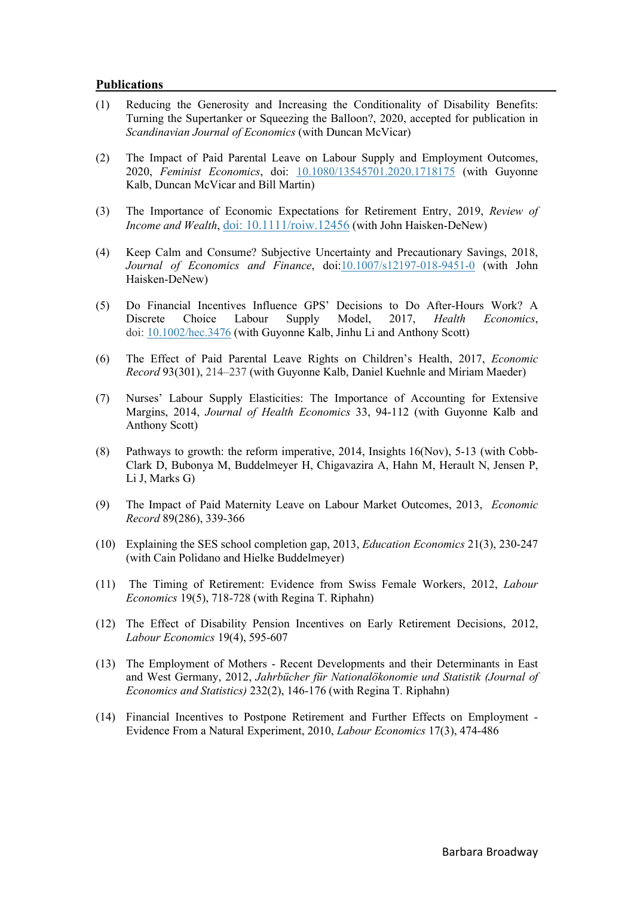#### Publications

- (1) Reducing the Generosity and Increasing the Conditionality of Disability Benefits: Turning the Supertanker or Squeezing the Balloon?, 2020, accepted for publication in Scandinavian Journal of Economics (with Duncan McVicar)
- (2) The Impact of Paid Parental Leave on Labour Supply and Employment Outcomes, 2020, Feminist Economics, doi: 10.1080/13545701.2020.1718175 (with Guyonne Kalb, Duncan McVicar and Bill Martin)
- (3) The Importance of Economic Expectations for Retirement Entry, 2019, Review of Income and Wealth, doi: 10.1111/roiw.12456 (with John Haisken-DeNew)
- (4) Keep Calm and Consume? Subjective Uncertainty and Precautionary Savings, 2018, Journal of Economics and Finance, doi:10.1007/s12197-018-9451-0 (with John Haisken-DeNew)
- (5) Do Financial Incentives Influence GPS' Decisions to Do After-Hours Work? A Discrete Choice Labour Supply Model, 2017, Health Economics, doi: 10.1002/hec.3476 (with Guyonne Kalb, Jinhu Li and Anthony Scott)
- (6) The Effect of Paid Parental Leave Rights on Children's Health, 2017, Economic Record 93(301), 214–237 (with Guyonne Kalb, Daniel Kuehnle and Miriam Maeder)
- (7) Nurses' Labour Supply Elasticities: The Importance of Accounting for Extensive Margins, 2014, Journal of Health Economics 33, 94-112 (with Guyonne Kalb and Anthony Scott)
- (8) Pathways to growth: the reform imperative, 2014, Insights 16(Nov), 5-13 (with Cobb-Clark D, Bubonya M, Buddelmeyer H, Chigavazira A, Hahn M, Herault N, Jensen P, Li J, Marks G)
- (9) The Impact of Paid Maternity Leave on Labour Market Outcomes, 2013, Economic Record 89(286), 339-366
- (10) Explaining the SES school completion gap, 2013, Education Economics 21(3), 230-247 (with Cain Polidano and Hielke Buddelmeyer)
- (11) The Timing of Retirement: Evidence from Swiss Female Workers, 2012, Labour Economics 19(5), 718-728 (with Regina T. Riphahn)
- (12) The Effect of Disability Pension Incentives on Early Retirement Decisions, 2012, Labour Economics 19(4), 595-607
- (13) The Employment of Mothers Recent Developments and their Determinants in East and West Germany, 2012, Jahrbücher für Nationalökonomie und Statistik (Journal of Economics and Statistics) 232(2), 146-176 (with Regina T. Riphahn)
- (14) Financial Incentives to Postpone Retirement and Further Effects on Employment Evidence From a Natural Experiment, 2010, Labour Economics 17(3), 474-486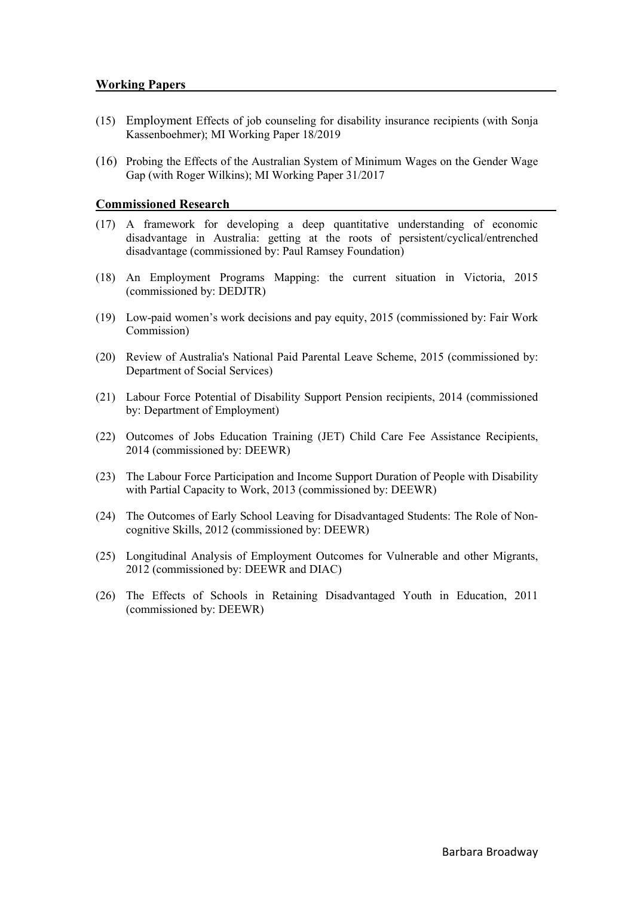- (15) Employment Effects of job counseling for disability insurance recipients (with Sonja Kassenboehmer); MI Working Paper 18/2019
- (16) Probing the Effects of the Australian System of Minimum Wages on the Gender Wage Gap (with Roger Wilkins); MI Working Paper 31/2017

### Commissioned Research

- (17) A framework for developing a deep quantitative understanding of economic disadvantage in Australia: getting at the roots of persistent/cyclical/entrenched disadvantage (commissioned by: Paul Ramsey Foundation)
- (18) An Employment Programs Mapping: the current situation in Victoria, 2015 (commissioned by: DEDJTR)
- (19) Low-paid women's work decisions and pay equity, 2015 (commissioned by: Fair Work Commission)
- (20) Review of Australia's National Paid Parental Leave Scheme, 2015 (commissioned by: Department of Social Services)
- (21) Labour Force Potential of Disability Support Pension recipients, 2014 (commissioned by: Department of Employment)
- (22) Outcomes of Jobs Education Training (JET) Child Care Fee Assistance Recipients, 2014 (commissioned by: DEEWR)
- (23) The Labour Force Participation and Income Support Duration of People with Disability with Partial Capacity to Work, 2013 (commissioned by: DEEWR)
- (24) The Outcomes of Early School Leaving for Disadvantaged Students: The Role of Noncognitive Skills, 2012 (commissioned by: DEEWR)
- (25) Longitudinal Analysis of Employment Outcomes for Vulnerable and other Migrants, 2012 (commissioned by: DEEWR and DIAC)
- (26) The Effects of Schools in Retaining Disadvantaged Youth in Education, 2011 (commissioned by: DEEWR)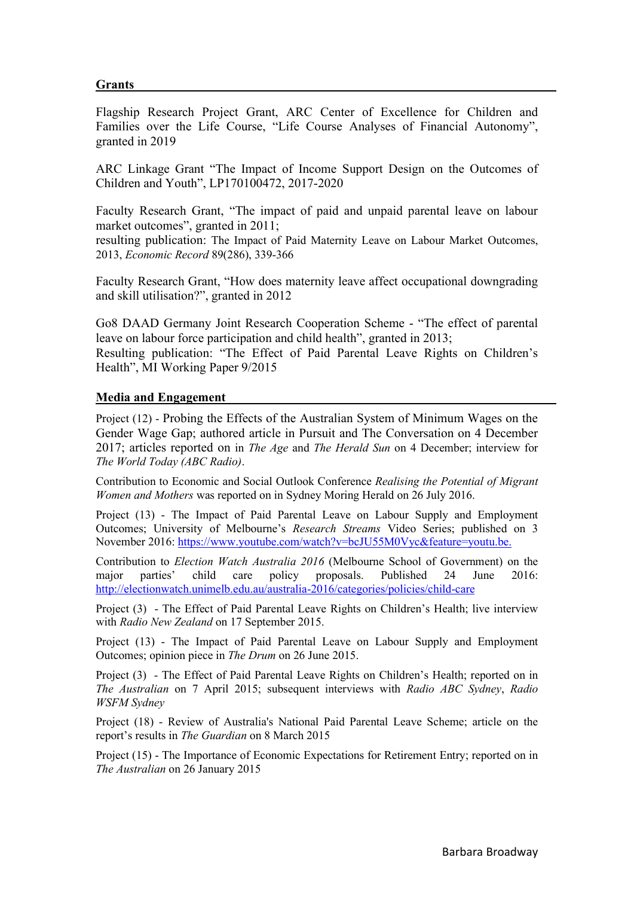# Grants

Flagship Research Project Grant, ARC Center of Excellence for Children and Families over the Life Course, "Life Course Analyses of Financial Autonomy", granted in 2019

ARC Linkage Grant "The Impact of Income Support Design on the Outcomes of Children and Youth", LP170100472, 2017-2020

Faculty Research Grant, "The impact of paid and unpaid parental leave on labour market outcomes", granted in 2011;

resulting publication: The Impact of Paid Maternity Leave on Labour Market Outcomes, 2013, Economic Record 89(286), 339-366

Faculty Research Grant, "How does maternity leave affect occupational downgrading and skill utilisation?", granted in 2012

Go8 DAAD Germany Joint Research Cooperation Scheme - "The effect of parental leave on labour force participation and child health", granted in 2013; Resulting publication: "The Effect of Paid Parental Leave Rights on Children's Health", MI Working Paper 9/2015

# Media and Engagement

Project (12) - Probing the Effects of the Australian System of Minimum Wages on the Gender Wage Gap; authored article in Pursuit and The Conversation on 4 December 2017; articles reported on in The Age and The Herald Sun on 4 December; interview for The World Today (ABC Radio).

Contribution to Economic and Social Outlook Conference Realising the Potential of Migrant Women and Mothers was reported on in Sydney Moring Herald on 26 July 2016.

Project (13) - The Impact of Paid Parental Leave on Labour Supply and Employment Outcomes; University of Melbourne's Research Streams Video Series; published on 3 November 2016: https://www.youtube.com/watch?v=bcJU55M0Vyc&feature=youtu.be.

Contribution to Election Watch Australia 2016 (Melbourne School of Government) on the major parties' child care policy proposals. Published 24 June 2016: http://electionwatch.unimelb.edu.au/australia-2016/categories/policies/child-care

Project (3) - The Effect of Paid Parental Leave Rights on Children's Health; live interview with Radio New Zealand on 17 September 2015.

Project (13) - The Impact of Paid Parental Leave on Labour Supply and Employment Outcomes; opinion piece in The Drum on 26 June 2015.

Project (3) - The Effect of Paid Parental Leave Rights on Children's Health; reported on in The Australian on 7 April 2015; subsequent interviews with Radio ABC Sydney, Radio WSFM Sydney

Project (18) - Review of Australia's National Paid Parental Leave Scheme; article on the report's results in The Guardian on 8 March 2015

Project (15) - The Importance of Economic Expectations for Retirement Entry; reported on in The Australian on 26 January 2015